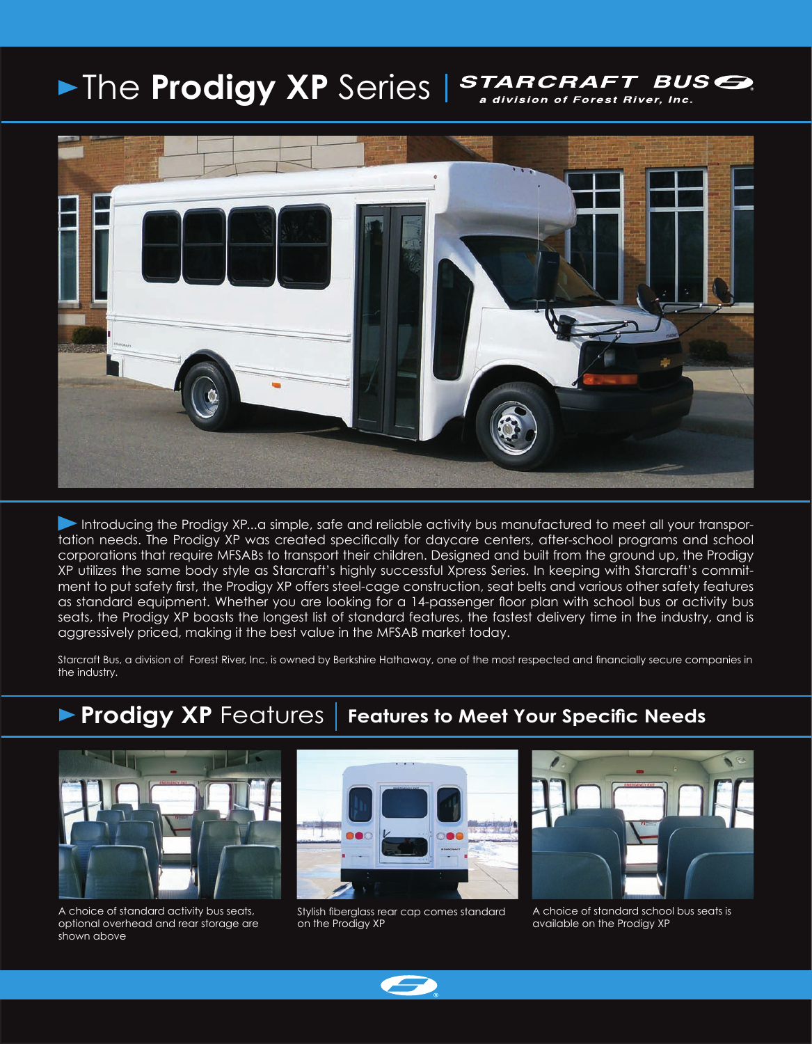### **Fine Prodigy XP** Series | STARCRAFT BUS<sup></sup> a division of Forest River, Inc.



Introducing the Prodigy XP...a simple, safe and reliable activity bus manufactured to meet all your transportation needs. The Prodigy XP was created specifically for daycare centers, after-school programs and school corporations that require MFSABs to transport their children. Designed and built from the ground up, the Prodigy XP utilizes the same body style as Starcraft's highly successful Xpress Series. In keeping with Starcraft's commitment to put safety first, the Prodigy XP offers steel-cage construction, seat belts and various other safety features as standard equipment. Whether you are looking for a 14-passenger floor plan with school bus or activity bus seats, the Prodigy XP boasts the longest list of standard features, the fastest delivery time in the industry, and is aggressively priced, making it the best value in the MFSAB market today.

Starcraft Bus, a division of Forest River, Inc. is owned by Berkshire Hathaway, one of the most respected and financially secure companies in the industry.

## **Prodigy XP** Features | Features to Meet Your Specific Needs



A choice of standard activity bus seats, optional overhead and rear storage are shown above



Stylish fiberglass rear cap comes standard on the Prodigy XP



A choice of standard school bus seats is available on the Prodigy XP